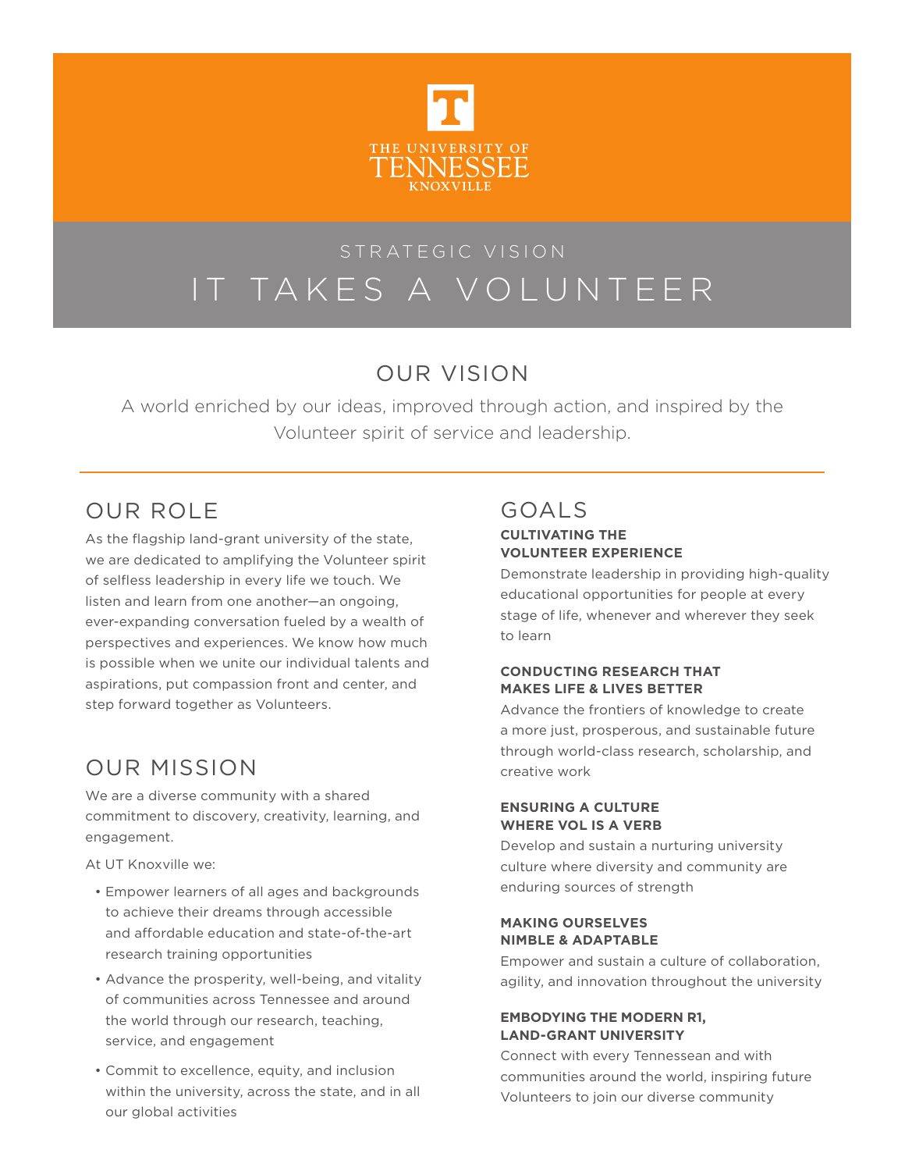

# IT TAKES A VOLUNTEER

# OUR VISION

A world enriched by our ideas, improved through action, and inspired by the Volunteer spirit of service and leadership.

# OUR ROLE

As the flagship land-grant university of the state, we are dedicated to amplifying the Volunteer spirit of selfless leadership in every life we touch. We listen and learn from one another—an ongoing, ever-expanding conversation fueled by a wealth of perspectives and experiences. We know how much is possible when we unite our individual talents and aspirations, put compassion front and center, and step forward together as Volunteers.

# OUR MISSION

We are a diverse community with a shared commitment to discovery, creativity, learning, and engagement.

At UT Knoxville we:

- Empower learners of all ages and backgrounds to achieve their dreams through accessible and affordable education and state-of-the-art research training opportunities
- Advance the prosperity, well-being, and vitality of communities across Tennessee and around the world through our research, teaching, service, and engagement
- Commit to excellence, equity, and inclusion within the university, across the state, and in all our global activities

# GOALS

## **CULTIVATING THE VOLUNTEER EXPERIENCE**

Demonstrate leadership in providing high-quality educational opportunities for people at every stage of life, whenever and wherever they seek to learn

## **CONDUCTING RESEARCH THAT MAKES LIFE & LIVES BETTER**

Advance the frontiers of knowledge to create a more just, prosperous, and sustainable future through world-class research, scholarship, and creative work

## **ENSURING A CULTURE WHERE VOL IS A VERB**

Develop and sustain a nurturing university culture where diversity and community are enduring sources of strength

## **MAKING OURSELVES NIMBLE & ADAPTABLE**

Empower and sustain a culture of collaboration, agility, and innovation throughout the university

## **EMBODYING THE MODERN R1, LAND-GRANT UNIVERSITY**

Connect with every Tennessean and with communities around the world, inspiring future Volunteers to join our diverse community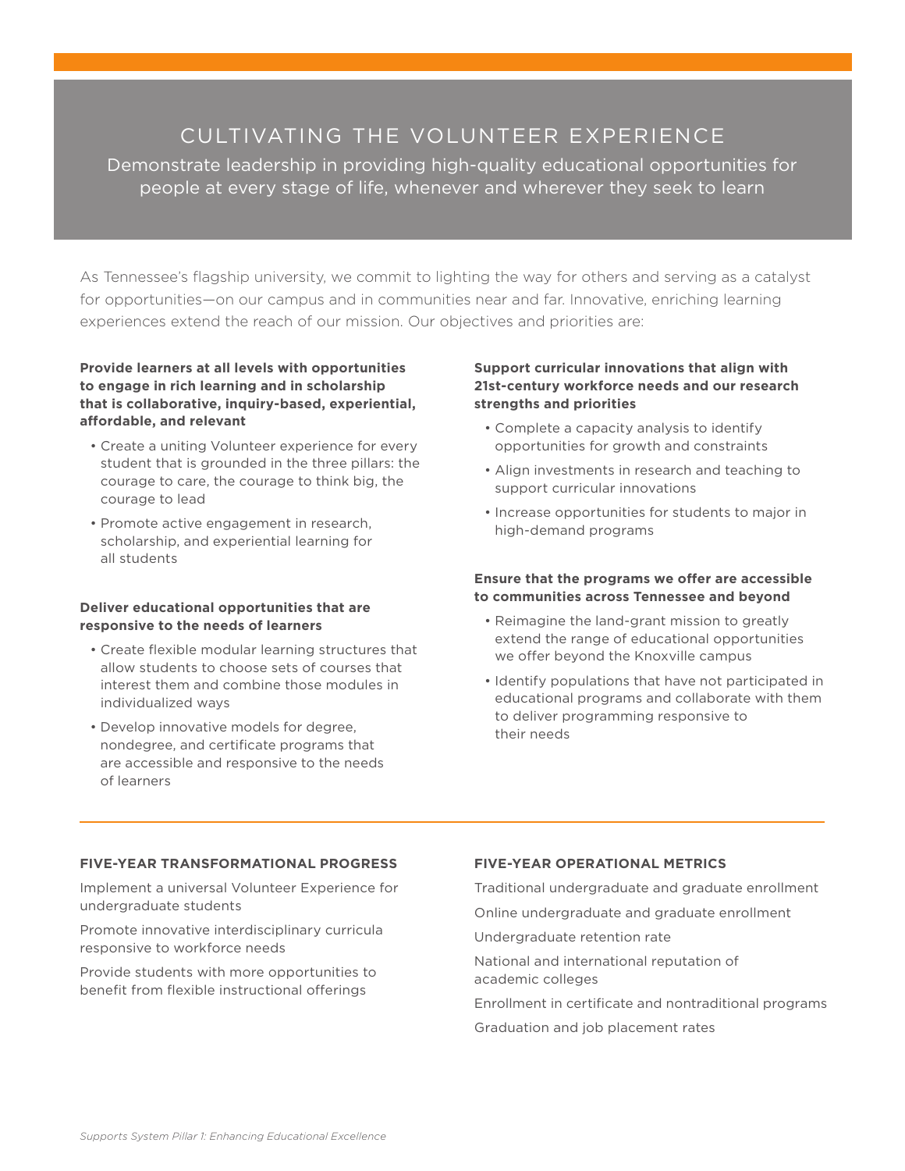## CULTIVATING THE VOLUNTEER EXPERIENCE

Demonstrate leadership in providing high-quality educational opportunities for people at every stage of life, whenever and wherever they seek to learn

As Tennessee's flagship university, we commit to lighting the way for others and serving as a catalyst for opportunities—on our campus and in communities near and far. Innovative, enriching learning experiences extend the reach of our mission. Our objectives and priorities are:

## **Provide learners at all levels with opportunities to engage in rich learning and in scholarship that is collaborative, inquiry-based, experiential, affordable, and relevant**

- Create a uniting Volunteer experience for every student that is grounded in the three pillars: the courage to care, the courage to think big, the courage to lead
- Promote active engagement in research, scholarship, and experiential learning for all students

## **Deliver educational opportunities that are responsive to the needs of learners**

- Create flexible modular learning structures that allow students to choose sets of courses that interest them and combine those modules in individualized ways
- Develop innovative models for degree, nondegree, and certificate programs that are accessible and responsive to the needs of learners

## **Support curricular innovations that align with 21st-century workforce needs and our research strengths and priorities**

- Complete a capacity analysis to identify opportunities for growth and constraints
- Align investments in research and teaching to support curricular innovations
- Increase opportunities for students to major in high-demand programs

## **Ensure that the programs we offer are accessible to communities across Tennessee and beyond**

- Reimagine the land-grant mission to greatly extend the range of educational opportunities we offer beyond the Knoxville campus
- Identify populations that have not participated in educational programs and collaborate with them to deliver programming responsive to their needs

## **FIVE-YEAR TRANSFORMATIONAL PROGRESS**

Implement a universal Volunteer Experience for undergraduate students

Promote innovative interdisciplinary curricula responsive to workforce needs

Provide students with more opportunities to benefit from flexible instructional offerings

## **FIVE-YEAR OPERATIONAL METRICS**

Traditional undergraduate and graduate enrollment

Online undergraduate and graduate enrollment

Undergraduate retention rate

National and international reputation of academic colleges

Enrollment in certificate and nontraditional programs Graduation and job placement rates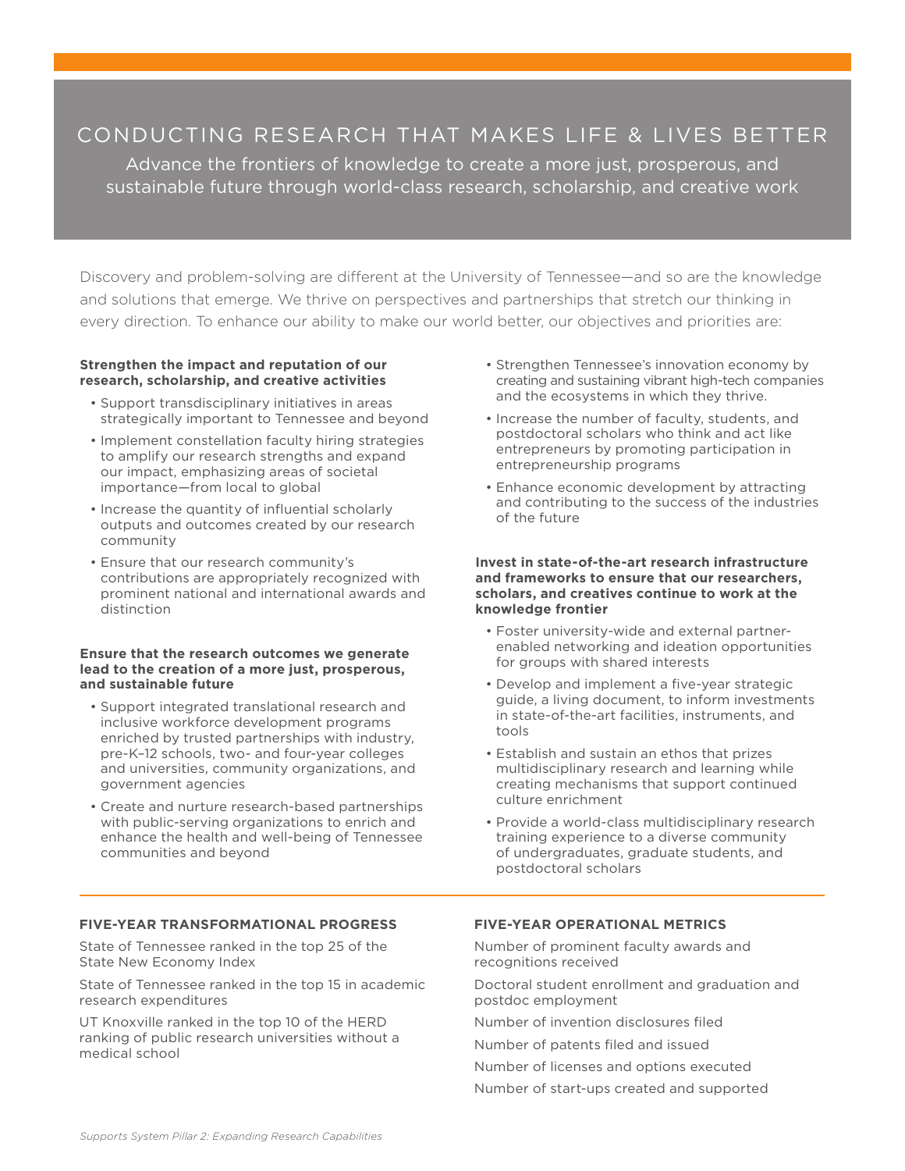## CONDUCTING RESEARCH THAT MAKES LIFE & LIVES BETTER

Advance the frontiers of knowledge to create a more just, prosperous, and sustainable future through world-class research, scholarship, and creative work

Discovery and problem-solving are different at the University of Tennessee—and so are the knowledge and solutions that emerge. We thrive on perspectives and partnerships that stretch our thinking in every direction. To enhance our ability to make our world better, our objectives and priorities are:

#### **Strengthen the impact and reputation of our research, scholarship, and creative activities**

- Support transdisciplinary initiatives in areas strategically important to Tennessee and beyond
- Implement constellation faculty hiring strategies to amplify our research strengths and expand our impact, emphasizing areas of societal importance—from local to global
- Increase the quantity of influential scholarly outputs and outcomes created by our research community
- Ensure that our research community's contributions are appropriately recognized with prominent national and international awards and distinction

#### **Ensure that the research outcomes we generate lead to the creation of a more just, prosperous, and sustainable future**

- Support integrated translational research and inclusive workforce development programs enriched by trusted partnerships with industry, pre-K–12 schools, two- and four-year colleges and universities, community organizations, and government agencies
- Create and nurture research-based partnerships with public-serving organizations to enrich and enhance the health and well-being of Tennessee communities and beyond
- Strengthen Tennessee's innovation economy by creating and sustaining vibrant high-tech companies and the ecosystems in which they thrive.
- Increase the number of faculty, students, and postdoctoral scholars who think and act like entrepreneurs by promoting participation in entrepreneurship programs
- Enhance economic development by attracting and contributing to the success of the industries of the future

#### **Invest in state-of-the-art research infrastructure and frameworks to ensure that our researchers, scholars, and creatives continue to work at the knowledge frontier**

- Foster university-wide and external partnerenabled networking and ideation opportunities for groups with shared interests
- Develop and implement a five-year strategic guide, a living document, to inform investments in state-of-the-art facilities, instruments, and tools
- Establish and sustain an ethos that prizes multidisciplinary research and learning while creating mechanisms that support continued culture enrichment
- Provide a world-class multidisciplinary research training experience to a diverse community of undergraduates, graduate students, and postdoctoral scholars

## **FIVE-YEAR TRANSFORMATIONAL PROGRESS**

State of Tennessee ranked in the top 25 of the State New Economy Index

State of Tennessee ranked in the top 15 in academic research expenditures

UT Knoxville ranked in the top 10 of the HERD ranking of public research universities without a medical school

## **FIVE-YEAR OPERATIONAL METRICS**

Number of prominent faculty awards and recognitions received

Doctoral student enrollment and graduation and postdoc employment

Number of invention disclosures filed

Number of patents filed and issued

Number of licenses and options executed

Number of start-ups created and supported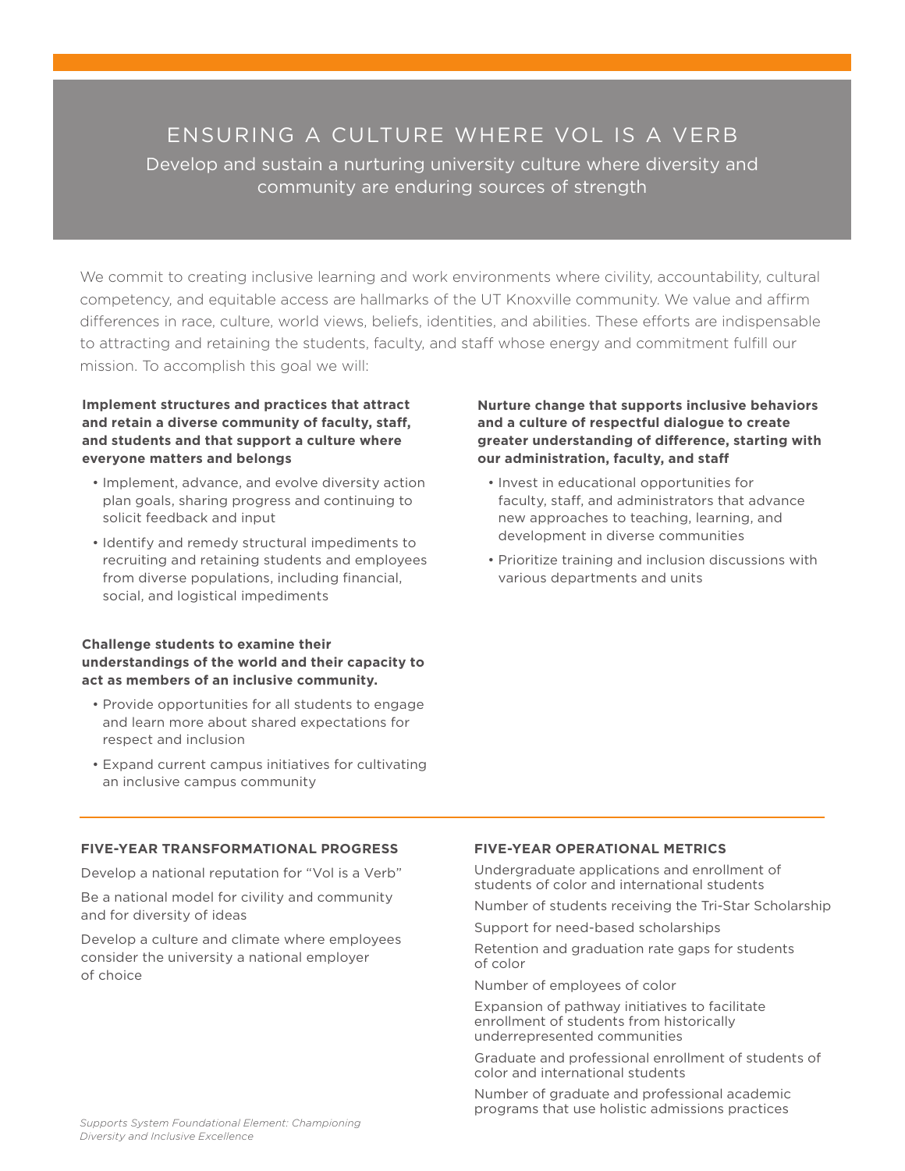## ENSURING A CULTURE WHERE VOL IS A VERB Develop and sustain a nurturing university culture where diversity and community are enduring sources of strength

We commit to creating inclusive learning and work environments where civility, accountability, cultural competency, and equitable access are hallmarks of the UT Knoxville community. We value and affirm differences in race, culture, world views, beliefs, identities, and abilities. These efforts are indispensable to attracting and retaining the students, faculty, and staff whose energy and commitment fulfill our mission. To accomplish this goal we will:

**Implement structures and practices that attract and retain a diverse community of faculty, staff, and students and that support a culture where everyone matters and belongs**

- Implement, advance, and evolve diversity action plan goals, sharing progress and continuing to solicit feedback and input
- Identify and remedy structural impediments to recruiting and retaining students and employees from diverse populations, including financial, social, and logistical impediments

#### **Challenge students to examine their understandings of the world and their capacity to act as members of an inclusive community.**

- Provide opportunities for all students to engage and learn more about shared expectations for respect and inclusion
- Expand current campus initiatives for cultivating an inclusive campus community

**Nurture change that supports inclusive behaviors and a culture of respectful dialogue to create greater understanding of difference, starting with our administration, faculty, and staff**

- Invest in educational opportunities for faculty, staff, and administrators that advance new approaches to teaching, learning, and development in diverse communities
- Prioritize training and inclusion discussions with various departments and units

## **FIVE-YEAR TRANSFORMATIONAL PROGRESS**

Develop a national reputation for "Vol is a Verb"

Be a national model for civility and community and for diversity of ideas

Develop a culture and climate where employees consider the university a national employer of choice

## **FIVE-YEAR OPERATIONAL METRICS**

Undergraduate applications and enrollment of students of color and international students

Number of students receiving the Tri-Star Scholarship

Support for need-based scholarships

Retention and graduation rate gaps for students of color

Number of employees of color

Expansion of pathway initiatives to facilitate enrollment of students from historically underrepresented communities

Graduate and professional enrollment of students of color and international students

Number of graduate and professional academic programs that use holistic admissions practices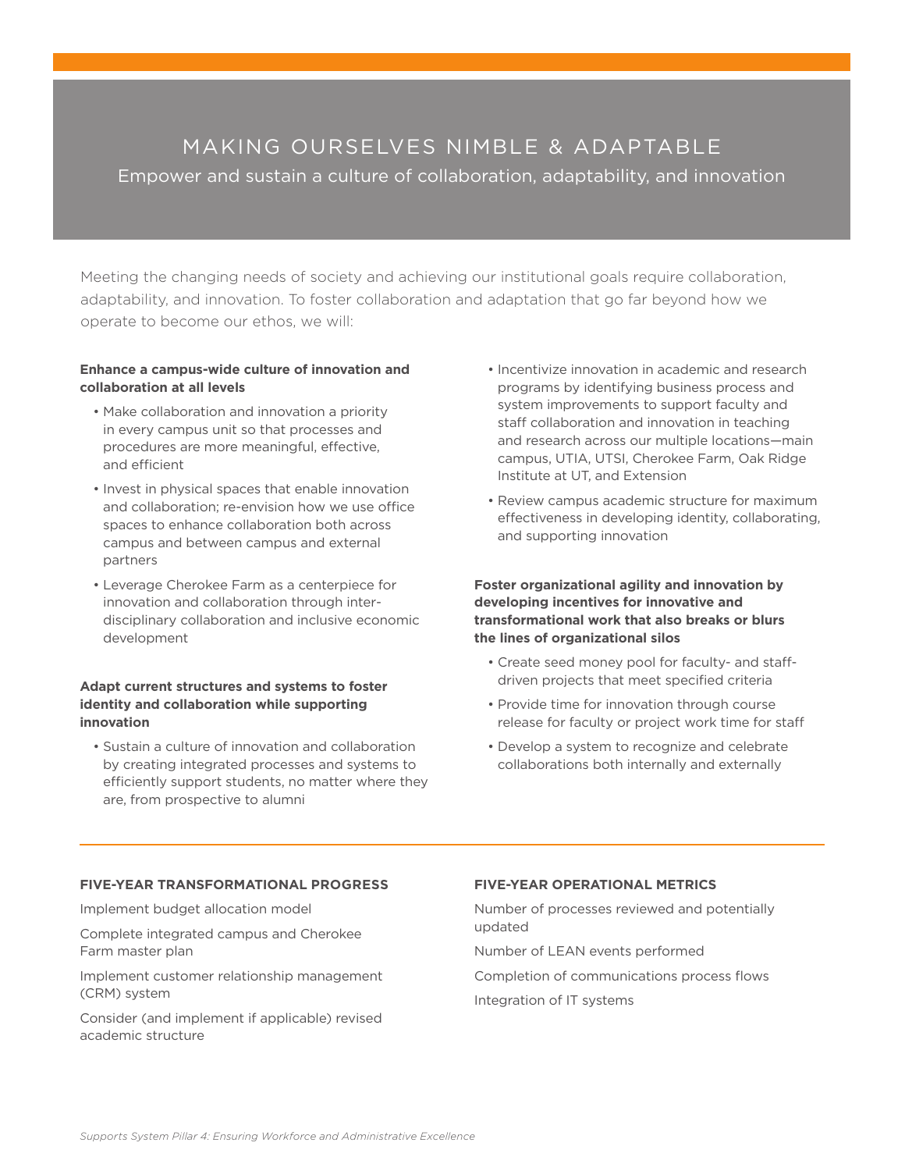## MAKING OURSELVES NIMBLE & ADAPTABLE

Empower and sustain a culture of collaboration, adaptability, and innovation

Meeting the changing needs of society and achieving our institutional goals require collaboration, adaptability, and innovation. To foster collaboration and adaptation that go far beyond how we operate to become our ethos, we will:

## **Enhance a campus-wide culture of innovation and collaboration at all levels**

- Make collaboration and innovation a priority in every campus unit so that processes and procedures are more meaningful, effective, and efficient
- Invest in physical spaces that enable innovation and collaboration; re-envision how we use office spaces to enhance collaboration both across campus and between campus and external partners
- Leverage Cherokee Farm as a centerpiece for innovation and collaboration through interdisciplinary collaboration and inclusive economic development

## **Adapt current structures and systems to foster identity and collaboration while supporting innovation**

• Sustain a culture of innovation and collaboration by creating integrated processes and systems to efficiently support students, no matter where they are, from prospective to alumni

- Incentivize innovation in academic and research programs by identifying business process and system improvements to support faculty and staff collaboration and innovation in teaching and research across our multiple locations—main campus, UTIA, UTSI, Cherokee Farm, Oak Ridge Institute at UT, and Extension
- Review campus academic structure for maximum effectiveness in developing identity, collaborating, and supporting innovation

**Foster organizational agility and innovation by developing incentives for innovative and transformational work that also breaks or blurs the lines of organizational silos**

- Create seed money pool for faculty- and staffdriven projects that meet specified criteria
- Provide time for innovation through course release for faculty or project work time for staff
- Develop a system to recognize and celebrate collaborations both internally and externally

## **FIVE-YEAR TRANSFORMATIONAL PROGRESS**

Implement budget allocation model

Complete integrated campus and Cherokee Farm master plan

Implement customer relationship management (CRM) system

Consider (and implement if applicable) revised academic structure

## **FIVE-YEAR OPERATIONAL METRICS**

Number of processes reviewed and potentially updated

Number of LEAN events performed

Completion of communications process flows

Integration of IT systems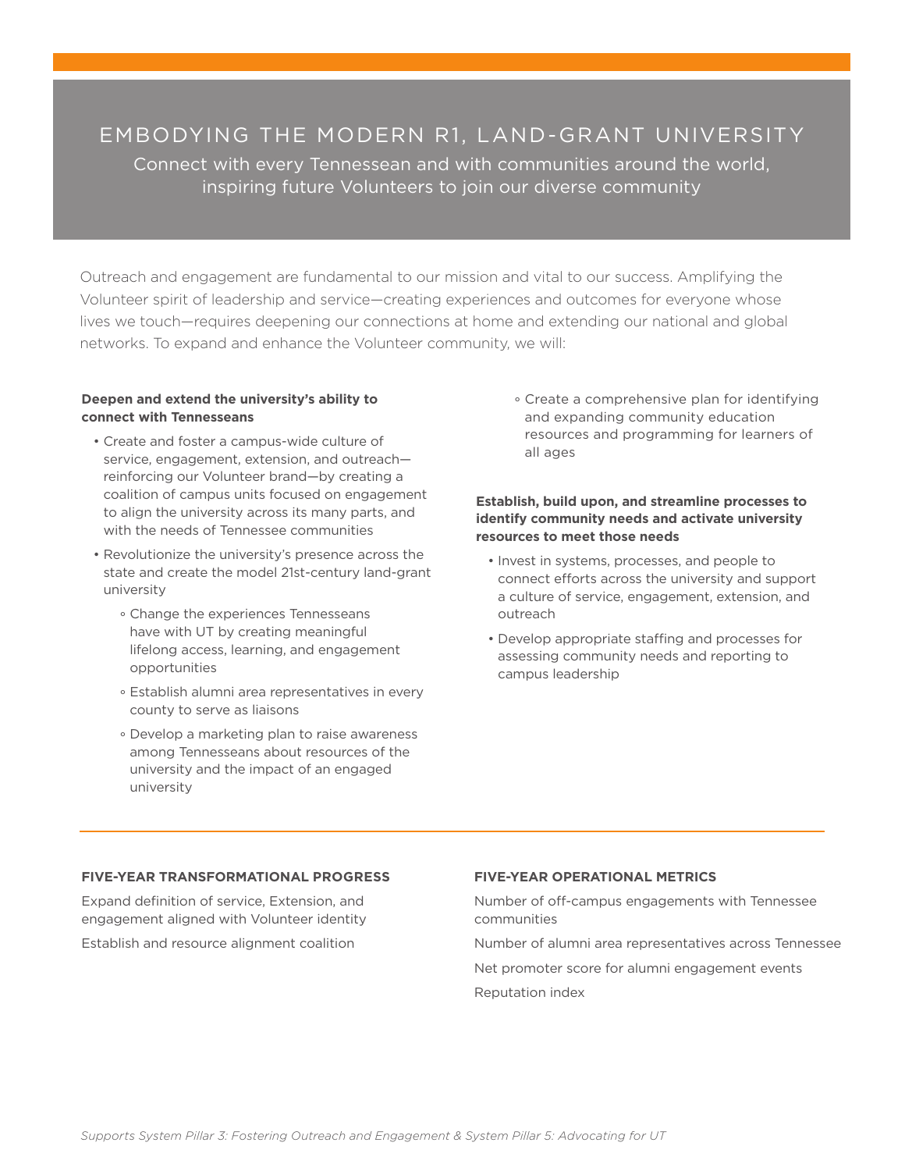EMBODYING THE MODERN R1, LAND-GRANT UNIVERSITY Connect with every Tennessean and with communities around the world, inspiring future Volunteers to join our diverse community

Outreach and engagement are fundamental to our mission and vital to our success. Amplifying the Volunteer spirit of leadership and service—creating experiences and outcomes for everyone whose lives we touch—requires deepening our connections at home and extending our national and global networks. To expand and enhance the Volunteer community, we will:

### **Deepen and extend the university's ability to connect with Tennesseans**

- Create and foster a campus-wide culture of service, engagement, extension, and outreach reinforcing our Volunteer brand—by creating a coalition of campus units focused on engagement to align the university across its many parts, and with the needs of Tennessee communities
- Revolutionize the university's presence across the state and create the model 21st-century land-grant university
	- ° Change the experiences Tennesseans have with UT by creating meaningful lifelong access, learning, and engagement opportunities
	- ° Establish alumni area representatives in every county to serve as liaisons
	- ° Develop a marketing plan to raise awareness among Tennesseans about resources of the university and the impact of an engaged university

 ° Create a comprehensive plan for identifying and expanding community education resources and programming for learners of all ages

## **Establish, build upon, and streamline processes to identify community needs and activate university resources to meet those needs**

- Invest in systems, processes, and people to connect efforts across the university and support a culture of service, engagement, extension, and outreach
- Develop appropriate staffing and processes for assessing community needs and reporting to campus leadership

## **FIVE-YEAR TRANSFORMATIONAL PROGRESS**

Expand definition of service, Extension, and engagement aligned with Volunteer identity

Establish and resource alignment coalition

#### **FIVE-YEAR OPERATIONAL METRICS**

Number of off-campus engagements with Tennessee communities

Number of alumni area representatives across Tennessee Net promoter score for alumni engagement events Reputation index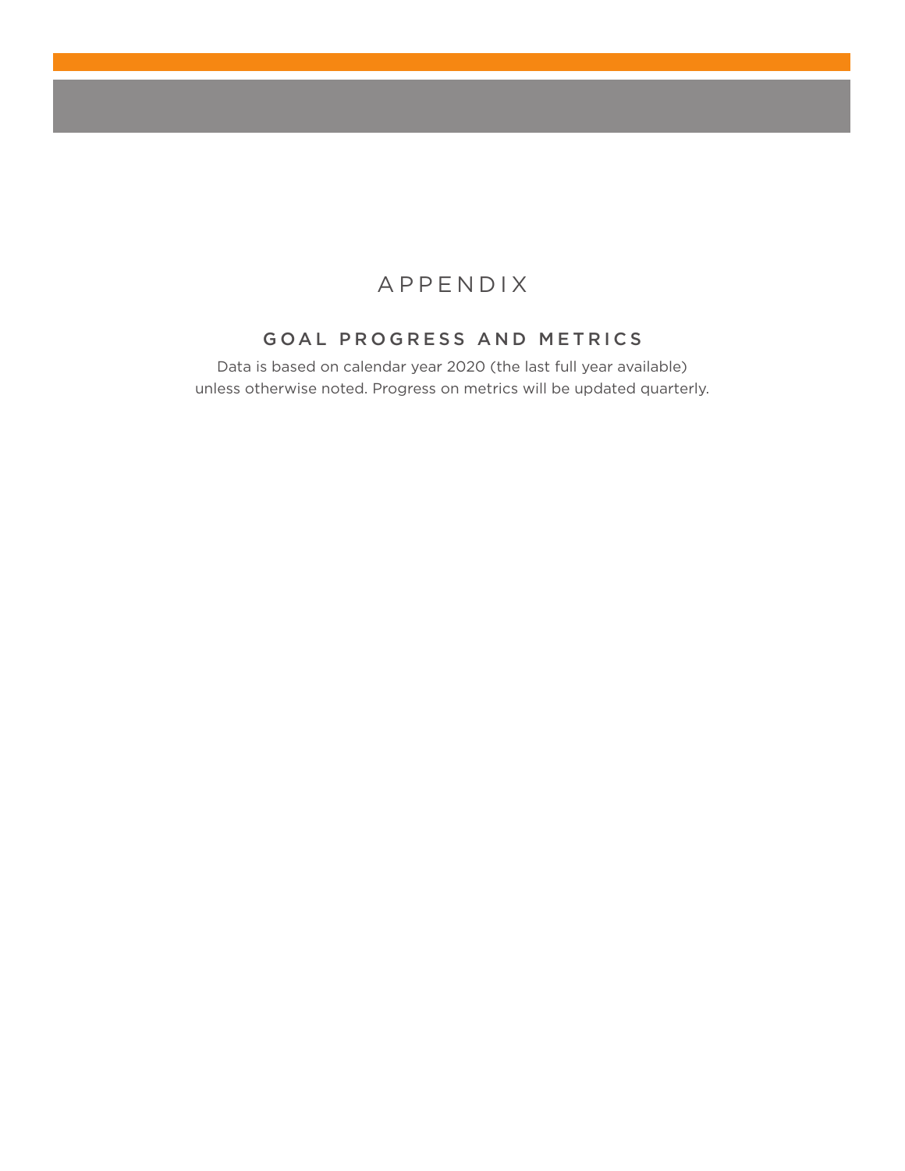## APPENDIX

## GOAL PROGRESS AND METRICS

Data is based on calendar year 2020 (the last full year available) unless otherwise noted. Progress on metrics will be updated quarterly.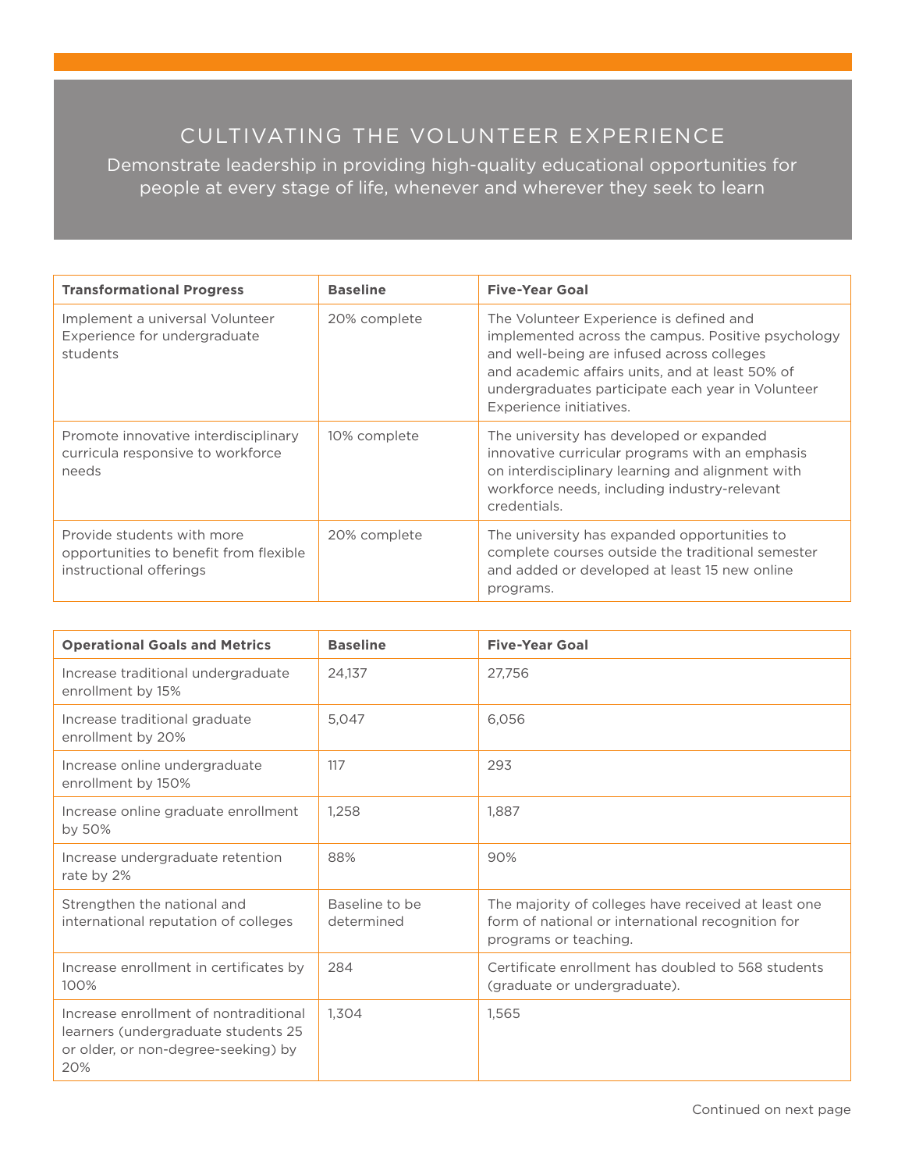# CULTIVATING THE VOLUNTEER EXPERIENCE

Demonstrate leadership in providing high-quality educational opportunities for people at every stage of life, whenever and wherever they seek to learn

| <b>Transformational Progress</b>                                                                | <b>Baseline</b> | <b>Five-Year Goal</b>                                                                                                                                                                                                                                                          |
|-------------------------------------------------------------------------------------------------|-----------------|--------------------------------------------------------------------------------------------------------------------------------------------------------------------------------------------------------------------------------------------------------------------------------|
| Implement a universal Volunteer<br>Experience for undergraduate<br>students                     | 20% complete    | The Volunteer Experience is defined and<br>implemented across the campus. Positive psychology<br>and well-being are infused across colleges<br>and academic affairs units, and at least 50% of<br>undergraduates participate each year in Volunteer<br>Experience initiatives. |
| Promote innovative interdisciplinary<br>curricula responsive to workforce<br>needs              | 10% complete    | The university has developed or expanded<br>innovative curricular programs with an emphasis<br>on interdisciplinary learning and alignment with<br>workforce needs, including industry-relevant<br>credentials.                                                                |
| Provide students with more<br>opportunities to benefit from flexible<br>instructional offerings | 20% complete    | The university has expanded opportunities to<br>complete courses outside the traditional semester<br>and added or developed at least 15 new online<br>programs.                                                                                                                |

| <b>Operational Goals and Metrics</b>                                                                                       | <b>Baseline</b>              | <b>Five-Year Goal</b>                                                                                                             |
|----------------------------------------------------------------------------------------------------------------------------|------------------------------|-----------------------------------------------------------------------------------------------------------------------------------|
| Increase traditional undergraduate<br>enrollment by 15%                                                                    | 24.137                       | 27,756                                                                                                                            |
| Increase traditional graduate<br>enrollment by 20%                                                                         | 5.047                        | 6,056                                                                                                                             |
| Increase online undergraduate<br>enrollment by 150%                                                                        | 117                          | 293                                                                                                                               |
| Increase online graduate enrollment<br>by 50%                                                                              | 1,258                        | 1,887                                                                                                                             |
| Increase undergraduate retention<br>rate by 2%                                                                             | 88%                          | 90%                                                                                                                               |
| Strengthen the national and<br>international reputation of colleges                                                        | Baseline to be<br>determined | The majority of colleges have received at least one<br>form of national or international recognition for<br>programs or teaching. |
| Increase enrollment in certificates by<br>100%                                                                             | 284                          | Certificate enrollment has doubled to 568 students<br>(graduate or undergraduate).                                                |
| Increase enrollment of nontraditional<br>learners (undergraduate students 25<br>or older, or non-degree-seeking) by<br>20% | 1,304                        | 1,565                                                                                                                             |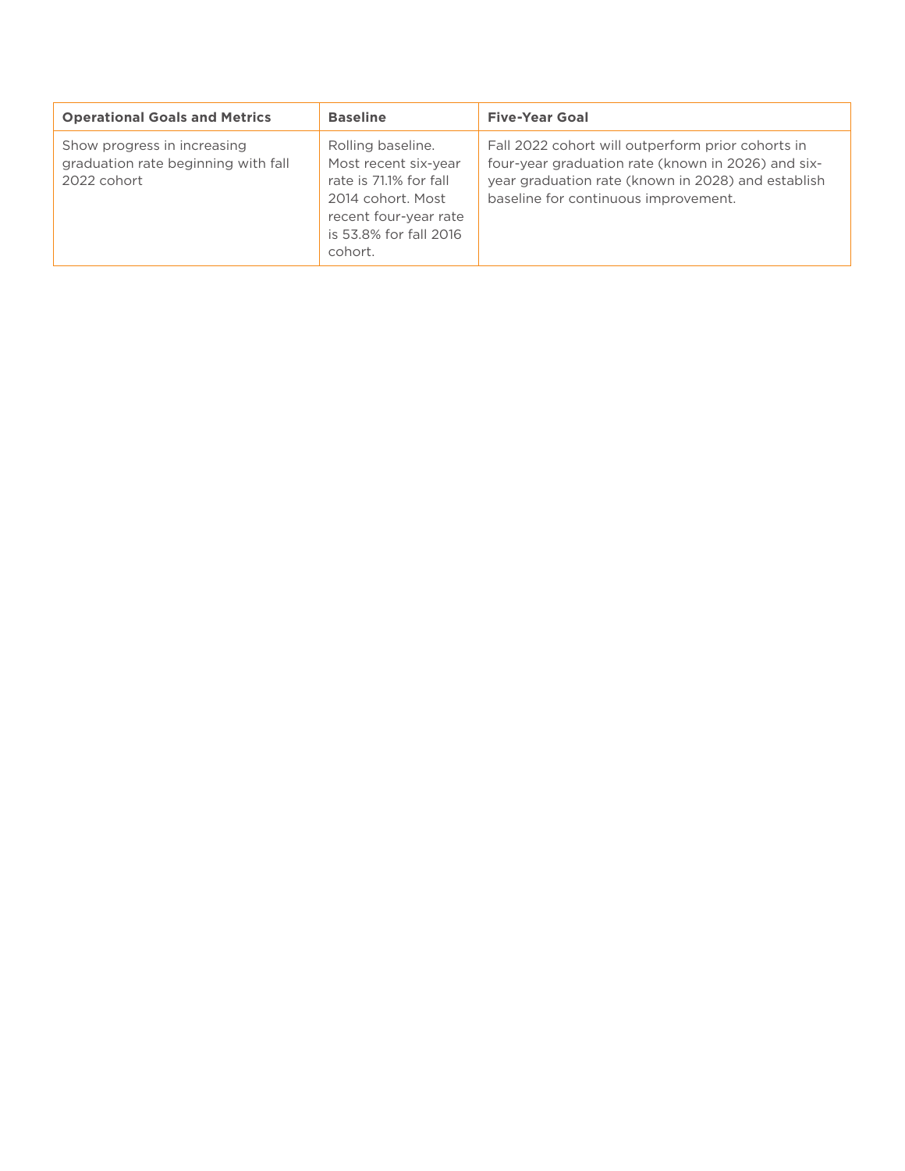| <b>Operational Goals and Metrics</b>                                              | <b>Baseline</b>                                                                                                                                        | <b>Five-Year Goal</b>                                                                                                                                                                                 |
|-----------------------------------------------------------------------------------|--------------------------------------------------------------------------------------------------------------------------------------------------------|-------------------------------------------------------------------------------------------------------------------------------------------------------------------------------------------------------|
| Show progress in increasing<br>graduation rate beginning with fall<br>2022 cohort | Rolling baseline.<br>Most recent six-year<br>rate is 71.1% for fall<br>2014 cohort, Most<br>recent four-year rate<br>is 53.8% for fall 2016<br>cohort. | Fall 2022 cohort will outperform prior cohorts in<br>four-year graduation rate (known in 2026) and six-<br>year graduation rate (known in 2028) and establish<br>baseline for continuous improvement. |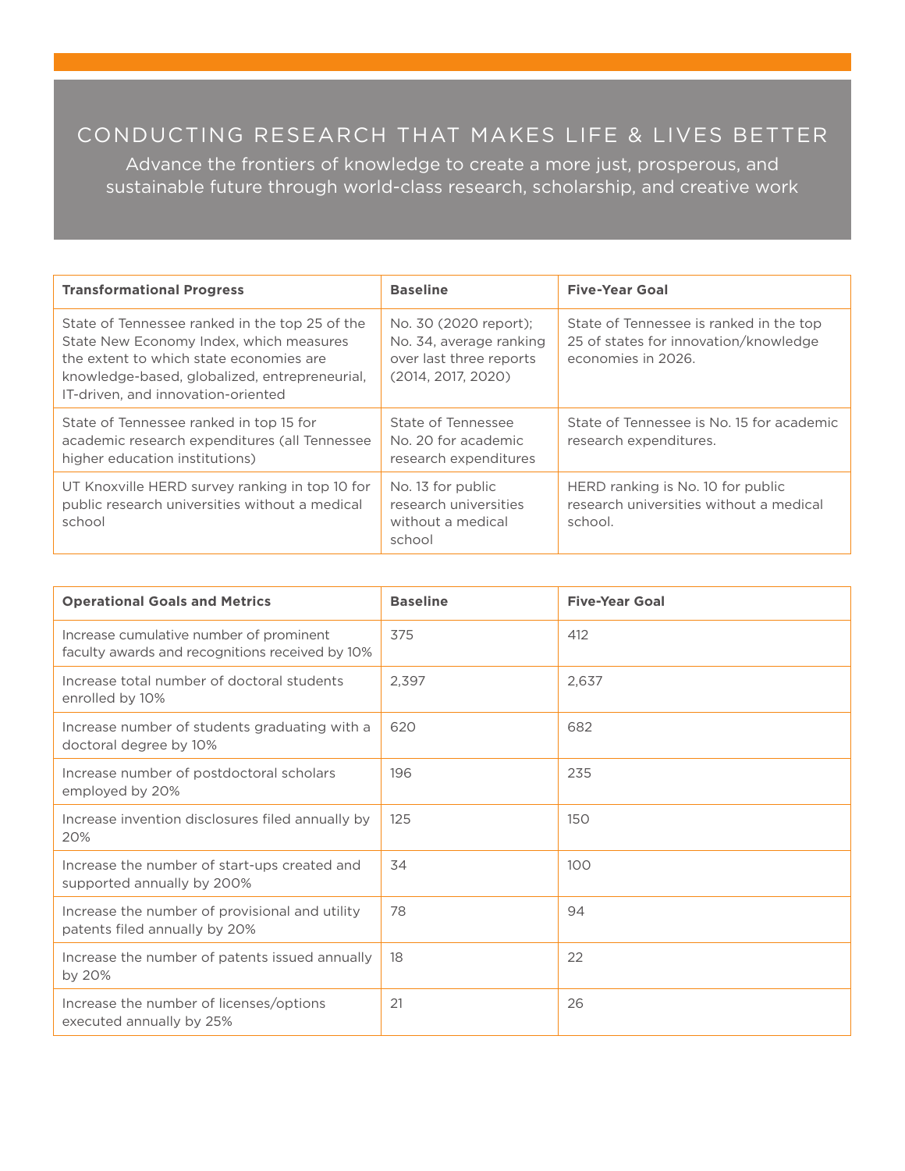## CONDUCTING RESEARCH THAT MAKES LIFE & LIVES BETTER

Advance the frontiers of knowledge to create a more just, prosperous, and sustainable future through world-class research, scholarship, and creative work

| <b>Transformational Progress</b>                                                                                                                                                                                            | <b>Baseline</b>                                                                                   | <b>Five-Year Goal</b>                                                                                  |
|-----------------------------------------------------------------------------------------------------------------------------------------------------------------------------------------------------------------------------|---------------------------------------------------------------------------------------------------|--------------------------------------------------------------------------------------------------------|
| State of Tennessee ranked in the top 25 of the<br>State New Economy Index, which measures<br>the extent to which state economies are<br>knowledge-based, globalized, entrepreneurial,<br>IT-driven, and innovation-oriented | No. 30 (2020 report);<br>No. 34, average ranking<br>over last three reports<br>(2014, 2017, 2020) | State of Tennessee is ranked in the top<br>25 of states for innovation/knowledge<br>economies in 2026. |
| State of Tennessee ranked in top 15 for<br>academic research expenditures (all Tennessee<br>higher education institutions)                                                                                                  | State of Tennessee<br>No. 20 for academic<br>research expenditures                                | State of Tennessee is No. 15 for academic<br>research expenditures.                                    |
| UT Knoxville HERD survey ranking in top 10 for<br>public research universities without a medical<br>school                                                                                                                  | No. 13 for public<br>research universities<br>without a medical<br>school                         | HERD ranking is No. 10 for public<br>research universities without a medical<br>school.                |

| <b>Operational Goals and Metrics</b>                                                       | <b>Baseline</b> | <b>Five-Year Goal</b> |
|--------------------------------------------------------------------------------------------|-----------------|-----------------------|
| Increase cumulative number of prominent<br>faculty awards and recognitions received by 10% | 375             | 412                   |
| Increase total number of doctoral students<br>enrolled by 10%                              | 2,397           | 2,637                 |
| Increase number of students graduating with a<br>doctoral degree by 10%                    | 620             | 682                   |
| Increase number of postdoctoral scholars<br>employed by 20%                                | 196             | 235                   |
| Increase invention disclosures filed annually by<br>20%                                    | 125             | 150                   |
| Increase the number of start-ups created and<br>supported annually by 200%                 | 34              | 100                   |
| Increase the number of provisional and utility<br>patents filed annually by 20%            | 78              | 94                    |
| Increase the number of patents issued annually<br>by 20%                                   | 18              | 22                    |
| Increase the number of licenses/options<br>executed annually by 25%                        | 21              | 26                    |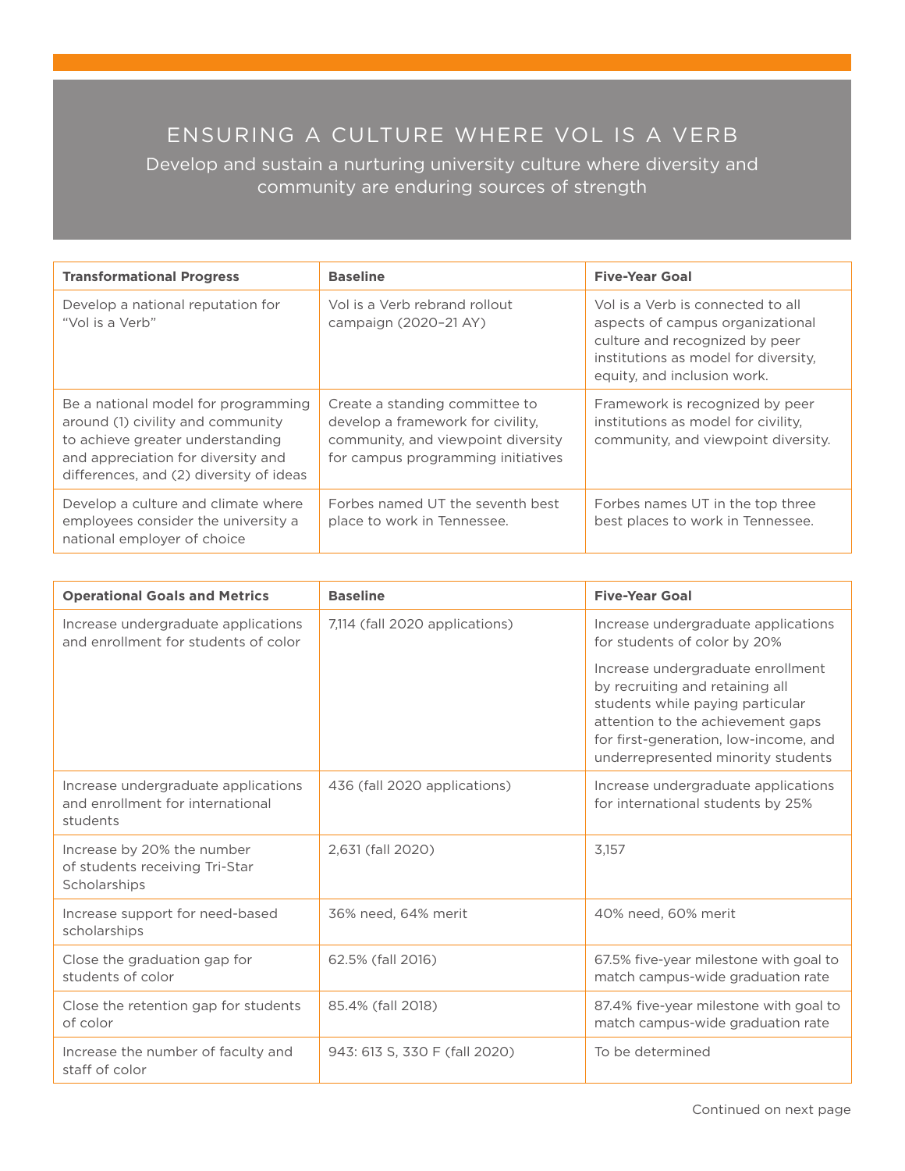# ENSURING A CULTURE WHERE VOL IS A VERB

Develop and sustain a nurturing university culture where diversity and community are enduring sources of strength

| <b>Transformational Progress</b>                                                                                                                                                              | <b>Baseline</b>                                                                                                                                 | <b>Five-Year Goal</b>                                                                                                                                                          |
|-----------------------------------------------------------------------------------------------------------------------------------------------------------------------------------------------|-------------------------------------------------------------------------------------------------------------------------------------------------|--------------------------------------------------------------------------------------------------------------------------------------------------------------------------------|
| Develop a national reputation for<br>"Vol is a Verb"                                                                                                                                          | Vol is a Verb rebrand rollout<br>campaign (2020-21 AY)                                                                                          | Vol is a Verb is connected to all<br>aspects of campus organizational<br>culture and recognized by peer<br>institutions as model for diversity.<br>equity, and inclusion work. |
| Be a national model for programming<br>around (1) civility and community<br>to achieve greater understanding<br>and appreciation for diversity and<br>differences, and (2) diversity of ideas | Create a standing committee to<br>develop a framework for civility.<br>community, and viewpoint diversity<br>for campus programming initiatives | Framework is recognized by peer<br>institutions as model for civility.<br>community, and viewpoint diversity.                                                                  |
| Develop a culture and climate where<br>employees consider the university a<br>national employer of choice                                                                                     | Forbes named UT the seventh best<br>place to work in Tennessee.                                                                                 | Forbes names UT in the top three<br>best places to work in Tennessee.                                                                                                          |

| <b>Operational Goals and Metrics</b>                                                | <b>Baseline</b>                | <b>Five-Year Goal</b>                                                                                                                                                                                                        |
|-------------------------------------------------------------------------------------|--------------------------------|------------------------------------------------------------------------------------------------------------------------------------------------------------------------------------------------------------------------------|
| Increase undergraduate applications<br>and enrollment for students of color         | 7,114 (fall 2020 applications) | Increase undergraduate applications<br>for students of color by 20%                                                                                                                                                          |
|                                                                                     |                                | Increase undergraduate enrollment<br>by recruiting and retaining all<br>students while paying particular<br>attention to the achievement gaps<br>for first-generation, low-income, and<br>underrepresented minority students |
| Increase undergraduate applications<br>and enrollment for international<br>students | 436 (fall 2020 applications)   | Increase undergraduate applications<br>for international students by 25%                                                                                                                                                     |
| Increase by 20% the number<br>of students receiving Tri-Star<br>Scholarships        | 2,631 (fall 2020)              | 3.157                                                                                                                                                                                                                        |
| Increase support for need-based<br>scholarships                                     | 36% need, 64% merit            | 40% need, 60% merit                                                                                                                                                                                                          |
| Close the graduation gap for<br>students of color                                   | 62.5% (fall 2016)              | 67.5% five-year milestone with goal to<br>match campus-wide graduation rate                                                                                                                                                  |
| Close the retention gap for students<br>of color                                    | 85.4% (fall 2018)              | 87.4% five-year milestone with goal to<br>match campus-wide graduation rate                                                                                                                                                  |
| Increase the number of faculty and<br>staff of color                                | 943: 613 S, 330 F (fall 2020)  | To be determined                                                                                                                                                                                                             |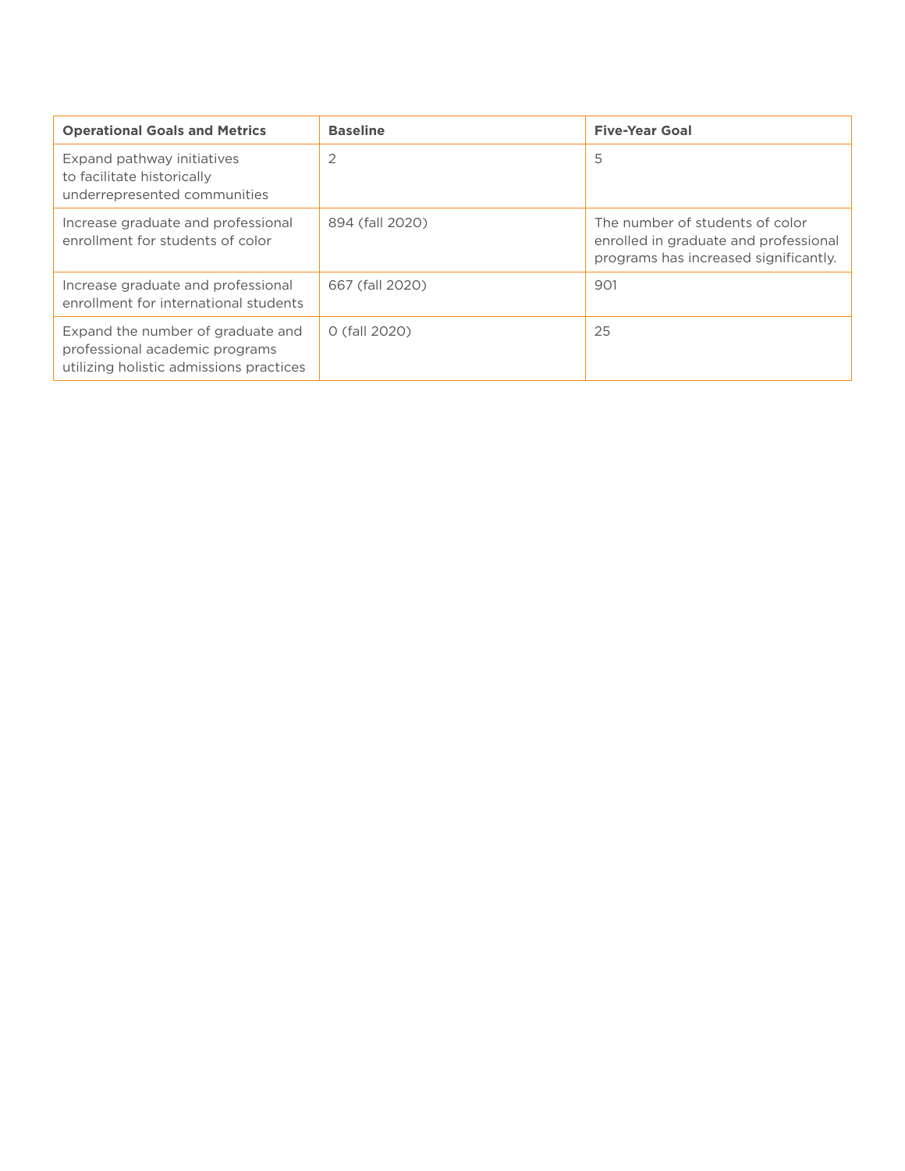| <b>Operational Goals and Metrics</b>                                                                           | <b>Baseline</b> | <b>Five-Year Goal</b>                                                                                             |
|----------------------------------------------------------------------------------------------------------------|-----------------|-------------------------------------------------------------------------------------------------------------------|
| Expand pathway initiatives<br>to facilitate historically<br>underrepresented communities                       | 2               | 5                                                                                                                 |
| Increase graduate and professional<br>enrollment for students of color                                         | 894 (fall 2020) | The number of students of color<br>enrolled in graduate and professional<br>programs has increased significantly. |
| Increase graduate and professional<br>enrollment for international students                                    | 667 (fall 2020) | 901                                                                                                               |
| Expand the number of graduate and<br>professional academic programs<br>utilizing holistic admissions practices | 0 (fall 2020)   | 25                                                                                                                |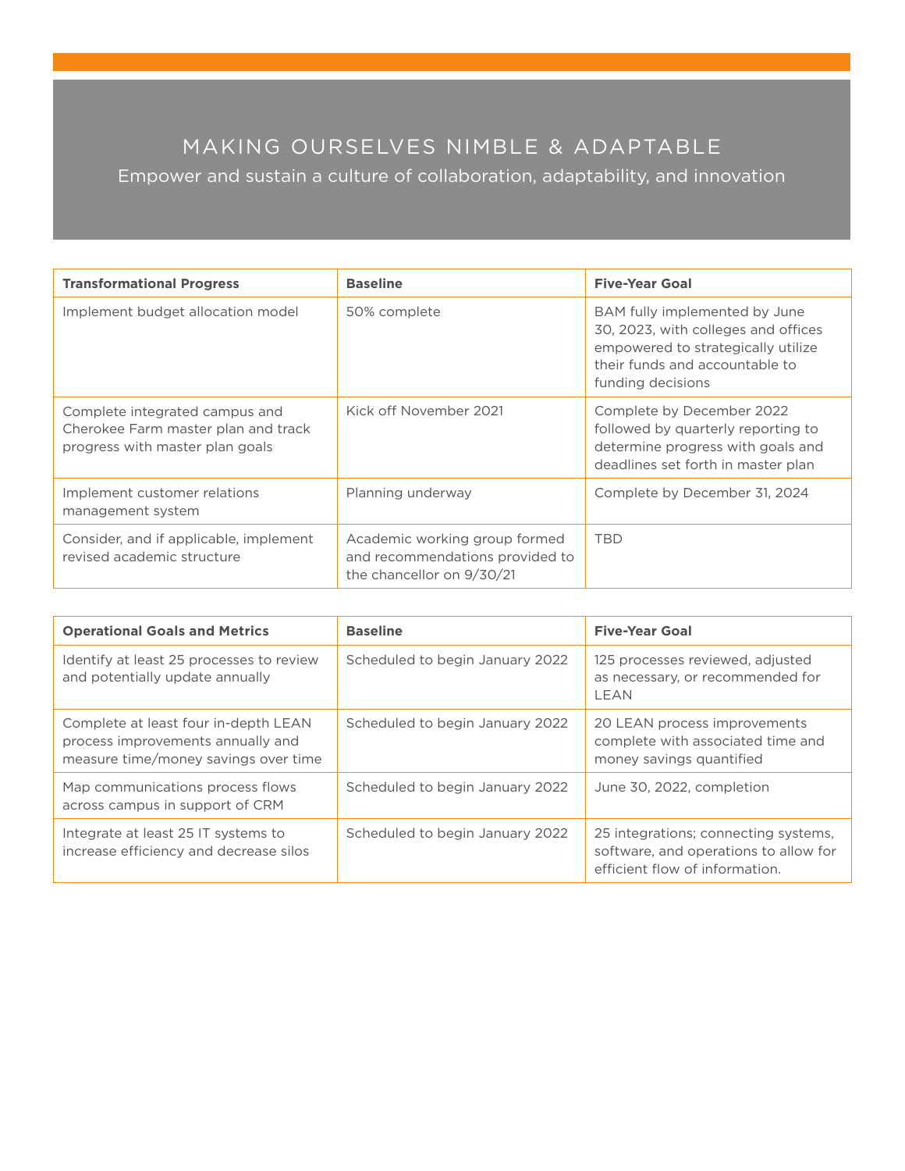# MAKING OURSELVES NIMBLE & ADAPTABLE

Empower and sustain a culture of collaboration, adaptability, and innovation

| <b>Transformational Progress</b>                                                                         | <b>Baseline</b>                                                                               | <b>Five-Year Goal</b>                                                                                                                                             |
|----------------------------------------------------------------------------------------------------------|-----------------------------------------------------------------------------------------------|-------------------------------------------------------------------------------------------------------------------------------------------------------------------|
| Implement budget allocation model                                                                        | 50% complete                                                                                  | BAM fully implemented by June<br>30, 2023, with colleges and offices<br>empowered to strategically utilize<br>their funds and accountable to<br>funding decisions |
| Complete integrated campus and<br>Cherokee Farm master plan and track<br>progress with master plan goals | Kick off November 2021                                                                        | Complete by December 2022<br>followed by quarterly reporting to<br>determine progress with goals and<br>deadlines set forth in master plan                        |
| Implement customer relations<br>management system                                                        | Planning underway                                                                             | Complete by December 31, 2024                                                                                                                                     |
| Consider, and if applicable, implement<br>revised academic structure                                     | Academic working group formed<br>and recommendations provided to<br>the chancellor on 9/30/21 | <b>TBD</b>                                                                                                                                                        |

| <b>Operational Goals and Metrics</b>                                                                              | <b>Baseline</b>                 | <b>Five-Year Goal</b>                                                                                           |
|-------------------------------------------------------------------------------------------------------------------|---------------------------------|-----------------------------------------------------------------------------------------------------------------|
| Identify at least 25 processes to review<br>and potentially update annually                                       | Scheduled to begin January 2022 | 125 processes reviewed, adjusted<br>as necessary, or recommended for<br>LEAN                                    |
| Complete at least four in-depth LEAN<br>process improvements annually and<br>measure time/money savings over time | Scheduled to begin January 2022 | 20 LEAN process improvements<br>complete with associated time and<br>money savings quantified                   |
| Map communications process flows<br>across campus in support of CRM                                               | Scheduled to begin January 2022 | June 30, 2022, completion                                                                                       |
| Integrate at least 25 IT systems to<br>increase efficiency and decrease silos                                     | Scheduled to begin January 2022 | 25 integrations; connecting systems,<br>software, and operations to allow for<br>efficient flow of information. |